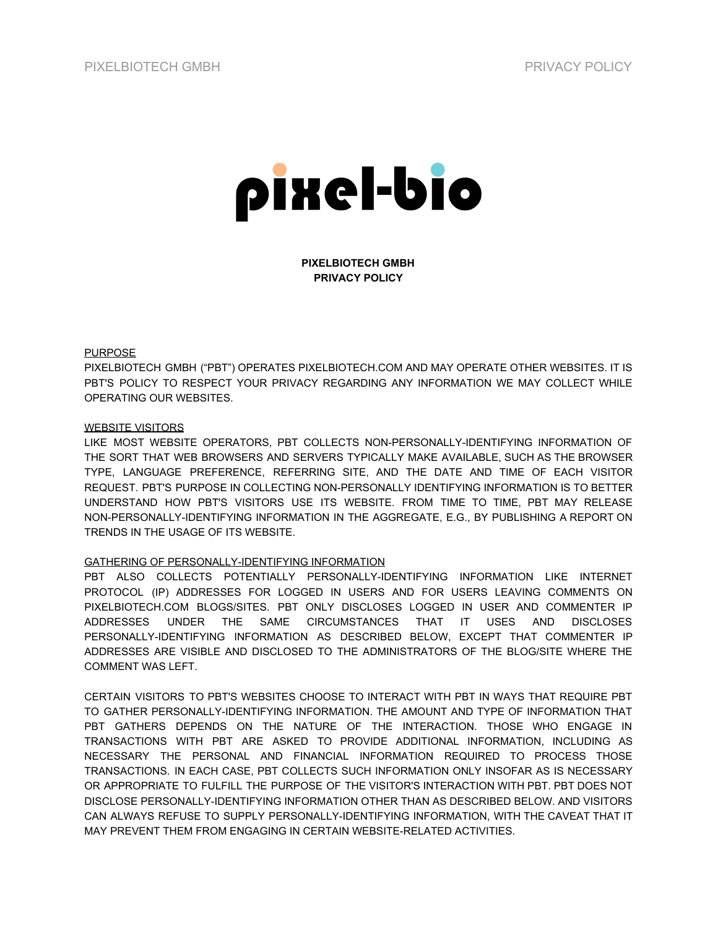

**PIXELBIOTECH GMBH PRIVACY POLICY**

### PURPOSE

PIXELBIOTECH GMBH ("PBT") OPERATES PIXELBIOTECH.COM AND MAY OPERATE OTHER WEBSITES. IT IS PBT'S POLICY TO RESPECT YOUR PRIVACY REGARDING ANY INFORMATION WE MAY COLLECT WHILE OPERATING OUR WEBSITES.

### WEBSITE VISITORS

LIKE MOST WEBSITE OPERATORS, PBT COLLECTS NON-PERSONALLY-IDENTIFYING INFORMATION OF THE SORT THAT WEB BROWSERS AND SERVERS TYPICALLY MAKE AVAILABLE, SUCH AS THE BROWSER TYPE, LANGUAGE PREFERENCE, REFERRING SITE, AND THE DATE AND TIME OF EACH VISITOR REQUEST. PBT'S PURPOSE IN COLLECTING NON-PERSONALLY IDENTIFYING INFORMATION IS TO BETTER UNDERSTAND HOW PBT'S VISITORS USE ITS WEBSITE. FROM TIME TO TIME, PBT MAY RELEASE NON-PERSONALLY-IDENTIFYING INFORMATION IN THE AGGREGATE, E.G., BY PUBLISHING A REPORT ON TRENDS IN THE USAGE OF ITS WEBSITE.

# GATHERING OF PERSONALLY-IDENTIFYING INFORMATION

PBT ALSO COLLECTS POTENTIALLY PERSONALLY-IDENTIFYING INFORMATION LIKE INTERNET PROTOCOL (IP) ADDRESSES FOR LOGGED IN USERS AND FOR USERS LEAVING COMMENTS ON PIXELBIOTECH.COM BLOGS/SITES. PBT ONLY DISCLOSES LOGGED IN USER AND COMMENTER IP ADDRESSES UNDER THE SAME CIRCUMSTANCES THAT IT USES AND DISCLOSES PERSONALLY-IDENTIFYING INFORMATION AS DESCRIBED BELOW, EXCEPT THAT COMMENTER IP ADDRESSES ARE VISIBLE AND DISCLOSED TO THE ADMINISTRATORS OF THE BLOG/SITE WHERE THE COMMENT WAS LEFT.

CERTAIN VISITORS TO PBT'S WEBSITES CHOOSE TO INTERACT WITH PBT IN WAYS THAT REQUIRE PBT TO GATHER PERSONALLY-IDENTIFYING INFORMATION. THE AMOUNT AND TYPE OF INFORMATION THAT PBT GATHERS DEPENDS ON THE NATURE OF THE INTERACTION. THOSE WHO ENGAGE IN TRANSACTIONS WITH PBT ARE ASKED TO PROVIDE ADDITIONAL INFORMATION, INCLUDING AS NECESSARY THE PERSONAL AND FINANCIAL INFORMATION REQUIRED TO PROCESS THOSE TRANSACTIONS. IN EACH CASE, PBT COLLECTS SUCH INFORMATION ONLY INSOFAR AS IS NECESSARY OR APPROPRIATE TO FULFILL THE PURPOSE OF THE VISITOR'S INTERACTION WITH PBT. PBT DOES NOT DISCLOSE PERSONALLY-IDENTIFYING INFORMATION OTHER THAN AS DESCRIBED BELOW. AND VISITORS CAN ALWAYS REFUSE TO SUPPLY PERSONALLY-IDENTIFYING INFORMATION, WITH THE CAVEAT THAT IT MAY PREVENT THEM FROM ENGAGING IN CERTAIN WEBSITE-RELATED ACTIVITIES.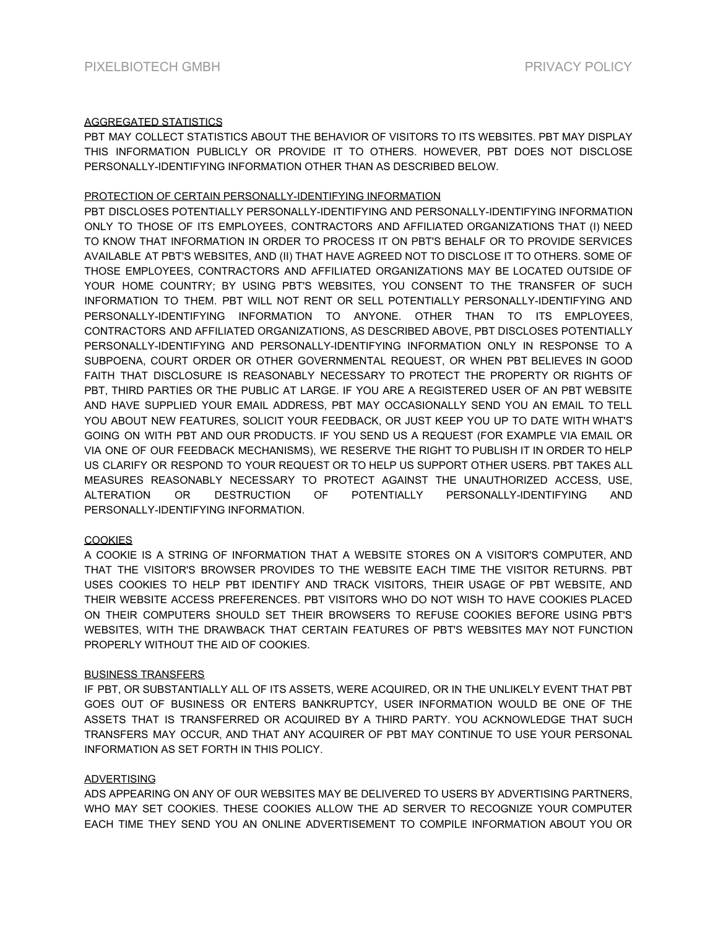# AGGREGATED STATISTICS

PBT MAY COLLECT STATISTICS ABOUT THE BEHAVIOR OF VISITORS TO ITS WEBSITES. PBT MAY DISPLAY THIS INFORMATION PUBLICLY OR PROVIDE IT TO OTHERS. HOWEVER, PBT DOES NOT DISCLOSE PERSONALLY-IDENTIFYING INFORMATION OTHER THAN AS DESCRIBED BELOW.

### PROTECTION OF CERTAIN PERSONALLY-IDENTIFYING INFORMATION

PBT DISCLOSES POTENTIALLY PERSONALLY-IDENTIFYING AND PERSONALLY-IDENTIFYING INFORMATION ONLY TO THOSE OF ITS EMPLOYEES, CONTRACTORS AND AFFILIATED ORGANIZATIONS THAT (I) NEED TO KNOW THAT INFORMATION IN ORDER TO PROCESS IT ON PBT'S BEHALF OR TO PROVIDE SERVICES AVAILABLE AT PBT'S WEBSITES, AND (II) THAT HAVE AGREED NOT TO DISCLOSE IT TO OTHERS. SOME OF THOSE EMPLOYEES, CONTRACTORS AND AFFILIATED ORGANIZATIONS MAY BE LOCATED OUTSIDE OF YOUR HOME COUNTRY; BY USING PBT'S WEBSITES, YOU CONSENT TO THE TRANSFER OF SUCH INFORMATION TO THEM. PBT WILL NOT RENT OR SELL POTENTIALLY PERSONALLY-IDENTIFYING AND PERSONALLY-IDENTIFYING INFORMATION TO ANYONE. OTHER THAN TO ITS EMPLOYEES, CONTRACTORS AND AFFILIATED ORGANIZATIONS, AS DESCRIBED ABOVE, PBT DISCLOSES POTENTIALLY PERSONALLY-IDENTIFYING AND PERSONALLY-IDENTIFYING INFORMATION ONLY IN RESPONSE TO A SUBPOENA, COURT ORDER OR OTHER GOVERNMENTAL REQUEST, OR WHEN PBT BELIEVES IN GOOD FAITH THAT DISCLOSURE IS REASONABLY NECESSARY TO PROTECT THE PROPERTY OR RIGHTS OF PBT, THIRD PARTIES OR THE PUBLIC AT LARGE. IF YOU ARE A REGISTERED USER OF AN PBT WEBSITE AND HAVE SUPPLIED YOUR EMAIL ADDRESS, PBT MAY OCCASIONALLY SEND YOU AN EMAIL TO TELL YOU ABOUT NEW FEATURES, SOLICIT YOUR FEEDBACK, OR JUST KEEP YOU UP TO DATE WITH WHAT'S GOING ON WITH PBT AND OUR PRODUCTS. IF YOU SEND US A REQUEST (FOR EXAMPLE VIA EMAIL OR VIA ONE OF OUR FEEDBACK MECHANISMS), WE RESERVE THE RIGHT TO PUBLISH IT IN ORDER TO HELP US CLARIFY OR RESPOND TO YOUR REQUEST OR TO HELP US SUPPORT OTHER USERS. PBT TAKES ALL MEASURES REASONABLY NECESSARY TO PROTECT AGAINST THE UNAUTHORIZED ACCESS, USE, ALTERATION OR DESTRUCTION OF POTENTIALLY PERSONALLY-IDENTIFYING AND PERSONALLY-IDENTIFYING INFORMATION.

# **COOKIES**

A COOKIE IS A STRING OF INFORMATION THAT A WEBSITE STORES ON A VISITOR'S COMPUTER, AND THAT THE VISITOR'S BROWSER PROVIDES TO THE WEBSITE EACH TIME THE VISITOR RETURNS. PBT USES COOKIES TO HELP PBT IDENTIFY AND TRACK VISITORS, THEIR USAGE OF PBT WEBSITE, AND THEIR WEBSITE ACCESS PREFERENCES. PBT VISITORS WHO DO NOT WISH TO HAVE COOKIES PLACED ON THEIR COMPUTERS SHOULD SET THEIR BROWSERS TO REFUSE COOKIES BEFORE USING PBT'S WEBSITES, WITH THE DRAWBACK THAT CERTAIN FEATURES OF PBT'S WEBSITES MAY NOT FUNCTION PROPERLY WITHOUT THE AID OF COOKIES.

# BUSINESS TRANSFERS

IF PBT, OR SUBSTANTIALLY ALL OF ITS ASSETS, WERE ACQUIRED, OR IN THE UNLIKELY EVENT THAT PBT GOES OUT OF BUSINESS OR ENTERS BANKRUPTCY, USER INFORMATION WOULD BE ONE OF THE ASSETS THAT IS TRANSFERRED OR ACQUIRED BY A THIRD PARTY. YOU ACKNOWLEDGE THAT SUCH TRANSFERS MAY OCCUR, AND THAT ANY ACQUIRER OF PBT MAY CONTINUE TO USE YOUR PERSONAL INFORMATION AS SET FORTH IN THIS POLICY.

# ADVERTISING

ADS APPEARING ON ANY OF OUR WEBSITES MAY BE DELIVERED TO USERS BY ADVERTISING PARTNERS, WHO MAY SET COOKIES. THESE COOKIES ALLOW THE AD SERVER TO RECOGNIZE YOUR COMPUTER EACH TIME THEY SEND YOU AN ONLINE ADVERTISEMENT TO COMPILE INFORMATION ABOUT YOU OR